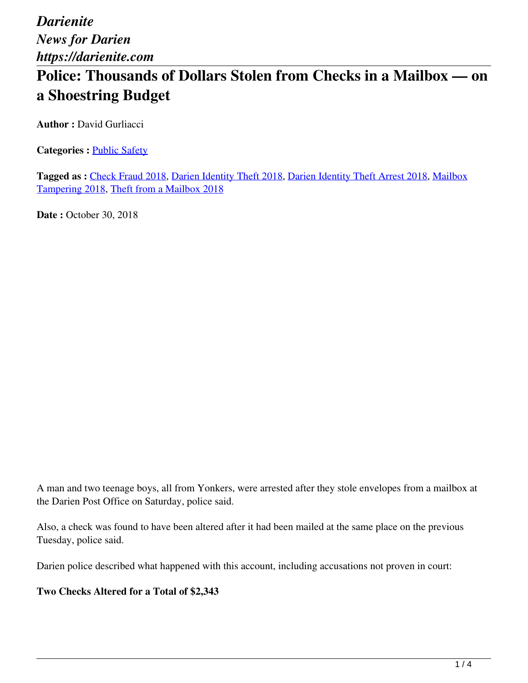# **Police: Thousands of Dollars Stolen from Checks in a Mailbox — on a Shoestring Budget**

**Author : David Gurliacci** 

**Categories : [Public Safety](https://darienite.com/category/news/police-fire)** 

**Tagged as :** Check Fraud 2018, Darien Identity Theft 2018, Darien Identity Theft Arrest 2018, Mailbox Tampering 2018, Theft from a Mailbox 2018

**Date :** October 30, 2018

A man and two teenage boys, all from Yonkers, were arrested after they stole envelopes from a mailbox at the Darien Post Office on Saturday, police said.

Also, a check was found to have been altered after it had been mailed at the same place on the previous Tuesday, police said.

Darien police described what happened with this account, including accusations not proven in court:

**Two Checks Altered for a Total of \$2,343**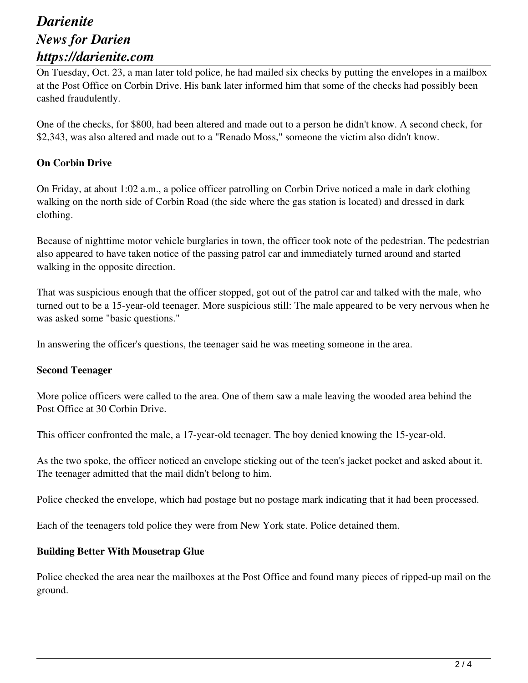On Tuesday, Oct. 23, a man later told police, he had mailed six checks by putting the envelopes in a mailbox at the Post Office on Corbin Drive. His bank later informed him that some of the checks had possibly been cashed fraudulently.

One of the checks, for \$800, had been altered and made out to a person he didn't know. A second check, for \$2,343, was also altered and made out to a "Renado Moss," someone the victim also didn't know.

### **On Corbin Drive**

On Friday, at about 1:02 a.m., a police officer patrolling on Corbin Drive noticed a male in dark clothing walking on the north side of Corbin Road (the side where the gas station is located) and dressed in dark clothing.

Because of nighttime motor vehicle burglaries in town, the officer took note of the pedestrian. The pedestrian also appeared to have taken notice of the passing patrol car and immediately turned around and started walking in the opposite direction.

That was suspicious enough that the officer stopped, got out of the patrol car and talked with the male, who turned out to be a 15-year-old teenager. More suspicious still: The male appeared to be very nervous when he was asked some "basic questions."

In answering the officer's questions, the teenager said he was meeting someone in the area.

#### **Second Teenager**

More police officers were called to the area. One of them saw a male leaving the wooded area behind the Post Office at 30 Corbin Drive.

This officer confronted the male, a 17-year-old teenager. The boy denied knowing the 15-year-old.

As the two spoke, the officer noticed an envelope sticking out of the teen's jacket pocket and asked about it. The teenager admitted that the mail didn't belong to him.

Police checked the envelope, which had postage but no postage mark indicating that it had been processed.

Each of the teenagers told police they were from New York state. Police detained them.

#### **Building Better With Mousetrap Glue**

Police checked the area near the mailboxes at the Post Office and found many pieces of ripped-up mail on the ground.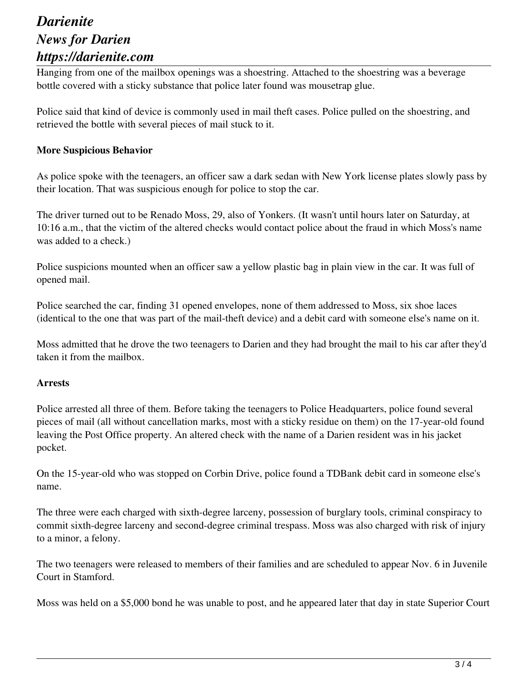Hanging from one of the mailbox openings was a shoestring. Attached to the shoestring was a beverage bottle covered with a sticky substance that police later found was mousetrap glue.

Police said that kind of device is commonly used in mail theft cases. Police pulled on the shoestring, and retrieved the bottle with several pieces of mail stuck to it.

#### **More Suspicious Behavior**

As police spoke with the teenagers, an officer saw a dark sedan with New York license plates slowly pass by their location. That was suspicious enough for police to stop the car.

The driver turned out to be Renado Moss, 29, also of Yonkers. (It wasn't until hours later on Saturday, at 10:16 a.m., that the victim of the altered checks would contact police about the fraud in which Moss's name was added to a check.)

Police suspicions mounted when an officer saw a yellow plastic bag in plain view in the car. It was full of opened mail.

Police searched the car, finding 31 opened envelopes, none of them addressed to Moss, six shoe laces (identical to the one that was part of the mail-theft device) and a debit card with someone else's name on it.

Moss admitted that he drove the two teenagers to Darien and they had brought the mail to his car after they'd taken it from the mailbox.

#### **Arrests**

Police arrested all three of them. Before taking the teenagers to Police Headquarters, police found several pieces of mail (all without cancellation marks, most with a sticky residue on them) on the 17-year-old found leaving the Post Office property. An altered check with the name of a Darien resident was in his jacket pocket.

On the 15-year-old who was stopped on Corbin Drive, police found a TDBank debit card in someone else's name.

The three were each charged with sixth-degree larceny, possession of burglary tools, criminal conspiracy to commit sixth-degree larceny and second-degree criminal trespass. Moss was also charged with risk of injury to a minor, a felony.

The two teenagers were released to members of their families and are scheduled to appear Nov. 6 in Juvenile Court in Stamford.

Moss was held on a \$5,000 bond he was unable to post, and he appeared later that day in state Superior Court